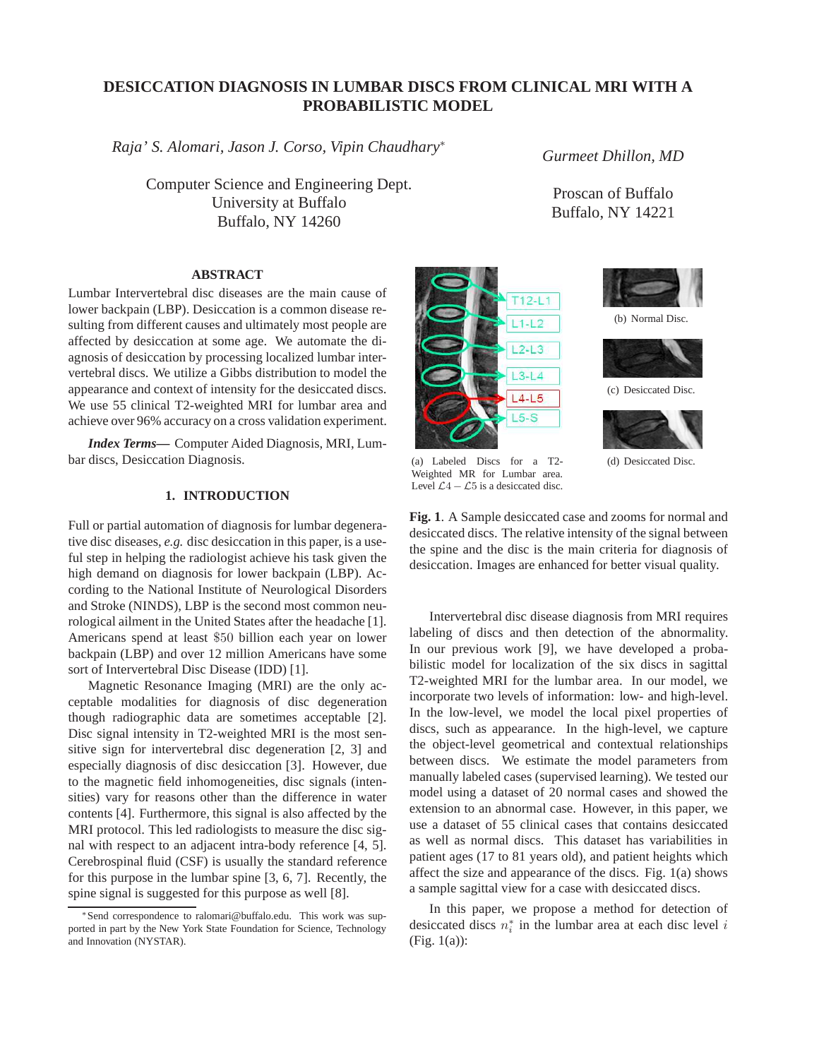# **DESICCATION DIAGNOSIS IN LUMBAR DISCS FROM CLINICAL MRI WITH A PROBABILISTIC MODEL**

*Raja' S. Alomari, Jason J. Corso, Vipin Chaudhary*<sup>∗</sup>

Computer Science and Engineering Dept. University at Buffalo Buffalo, NY 14260

*Gurmeet Dhillon, MD*

Proscan of Buffalo Buffalo, NY 14221

## **ABSTRACT**

Lumbar Intervertebral disc diseases are the main cause of lower backpain (LBP). Desiccation is a common disease resulting from different causes and ultimately most people are affected by desiccation at some age. We automate the diagnosis of desiccation by processing localized lumbar intervertebral discs. We utilize a Gibbs distribution to model the appearance and context of intensity for the desiccated discs. We use 55 clinical T2-weighted MRI for lumbar area and achieve over 96% accuracy on a cross validation experiment.

*Index Terms***—** Computer Aided Diagnosis, MRI, Lumbar discs, Desiccation Diagnosis.

## **1. INTRODUCTION**

Full or partial automation of diagnosis for lumbar degenerative disc diseases, *e.g.* disc desiccation in this paper, is a useful step in helping the radiologist achieve his task given the high demand on diagnosis for lower backpain (LBP). According to the National Institute of Neurological Disorders and Stroke (NINDS), LBP is the second most common neurological ailment in the United States after the headache [1]. Americans spend at least \$50 billion each year on lower backpain (LBP) and over 12 million Americans have some sort of Intervertebral Disc Disease (IDD) [1].

Magnetic Resonance Imaging (MRI) are the only acceptable modalities for diagnosis of disc degeneration though radiographic data are sometimes acceptable [2]. Disc signal intensity in T2-weighted MRI is the most sensitive sign for intervertebral disc degeneration [2, 3] and especially diagnosis of disc desiccation [3]. However, due to the magnetic field inhomogeneities, disc signals (intensities) vary for reasons other than the difference in water contents [4]. Furthermore, this signal is also affected by the MRI protocol. This led radiologists to measure the disc signal with respect to an adjacent intra-body reference [4, 5]. Cerebrospinal fluid (CSF) is usually the standard reference for this purpose in the lumbar spine [3, 6, 7]. Recently, the spine signal is suggested for this purpose as well [8].





(b) Normal Disc.





(d) Desiccated Disc.

(a) Labeled Discs for a T2- Weighted MR for Lumbar area. Level  $\mathcal{L}4 - \mathcal{L}5$  is a desiccated disc.

**Fig. 1**. A Sample desiccated case and zooms for normal and desiccated discs. The relative intensity of the signal between the spine and the disc is the main criteria for diagnosis of desiccation. Images are enhanced for better visual quality.

Intervertebral disc disease diagnosis from MRI requires labeling of discs and then detection of the abnormality. In our previous work [9], we have developed a probabilistic model for localization of the six discs in sagittal T2-weighted MRI for the lumbar area. In our model, we incorporate two levels of information: low- and high-level. In the low-level, we model the local pixel properties of discs, such as appearance. In the high-level, we capture the object-level geometrical and contextual relationships between discs. We estimate the model parameters from manually labeled cases (supervised learning). We tested our model using a dataset of 20 normal cases and showed the extension to an abnormal case. However, in this paper, we use a dataset of 55 clinical cases that contains desiccated as well as normal discs. This dataset has variabilities in patient ages (17 to 81 years old), and patient heights which affect the size and appearance of the discs. Fig. 1(a) shows a sample sagittal view for a case with desiccated discs.

In this paper, we propose a method for detection of desiccated discs  $n_i^*$  in the lumbar area at each disc level i (Fig. 1(a)):

<sup>∗</sup>Send correspondence to ralomari@buffalo.edu. This work was supported in part by the New York State Foundation for Science, Technology and Innovation (NYSTAR).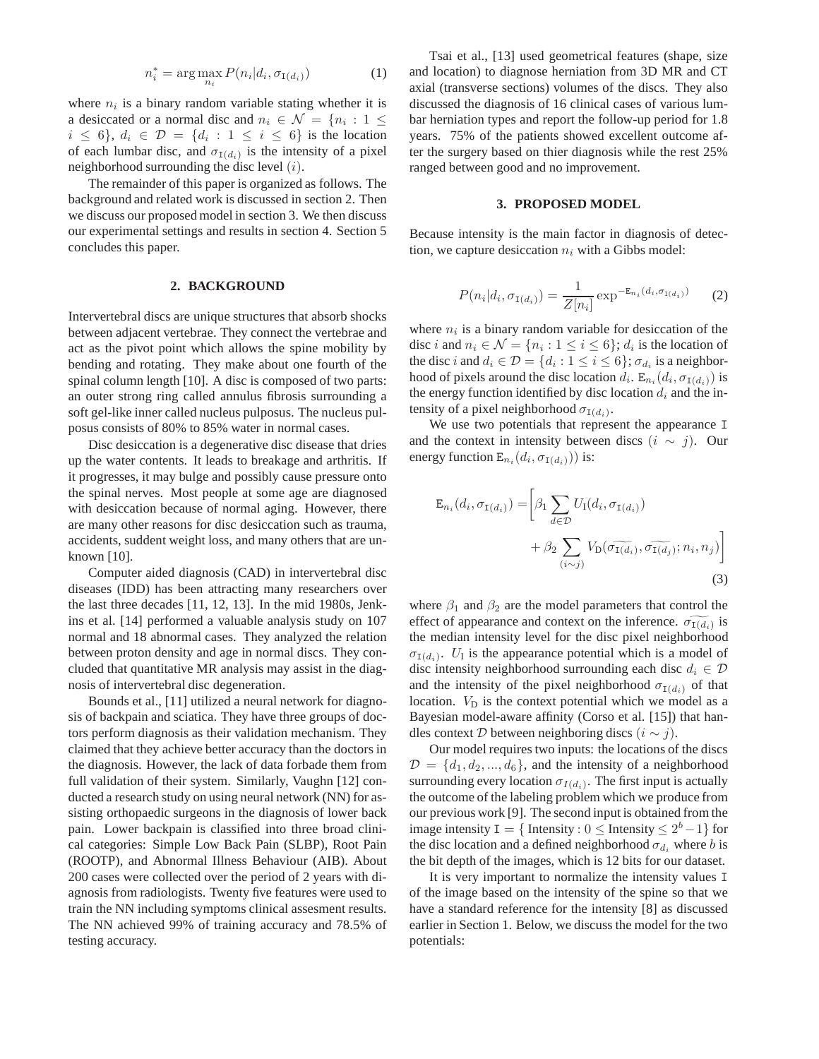$$
n_i^* = \arg\max_{n_i} P(n_i|d_i, \sigma_{\mathbf{I}(d_i)})
$$
\n(1)

where  $n_i$  is a binary random variable stating whether it is a desiccated or a normal disc and  $n_i \in \mathcal{N} = \{n_i : 1 \leq$  $i \leq 6$ ,  $d_i \in \mathcal{D} = \{d_i : 1 \leq i \leq 6\}$  is the location of each lumbar disc, and  $\sigma_{I(d_i)}$  is the intensity of a pixel neighborhood surrounding the disc level  $(i)$ .

The remainder of this paper is organized as follows. The background and related work is discussed in section 2. Then we discuss our proposed model in section 3. We then discuss our experimental settings and results in section 4. Section 5 concludes this paper.

### **2. BACKGROUND**

Intervertebral discs are unique structures that absorb shocks between adjacent vertebrae. They connect the vertebrae and act as the pivot point which allows the spine mobility by bending and rotating. They make about one fourth of the spinal column length [10]. A disc is composed of two parts: an outer strong ring called annulus fibrosis surrounding a soft gel-like inner called nucleus pulposus. The nucleus pulposus consists of 80% to 85% water in normal cases.

Disc desiccation is a degenerative disc disease that dries up the water contents. It leads to breakage and arthritis. If it progresses, it may bulge and possibly cause pressure onto the spinal nerves. Most people at some age are diagnosed with desiccation because of normal aging. However, there are many other reasons for disc desiccation such as trauma, accidents, suddent weight loss, and many others that are unknown [10].

Computer aided diagnosis (CAD) in intervertebral disc diseases (IDD) has been attracting many researchers over the last three decades [11, 12, 13]. In the mid 1980s, Jenkins et al. [14] performed a valuable analysis study on 107 normal and 18 abnormal cases. They analyzed the relation between proton density and age in normal discs. They concluded that quantitative MR analysis may assist in the diagnosis of intervertebral disc degeneration.

Bounds et al., [11] utilized a neural network for diagnosis of backpain and sciatica. They have three groups of doctors perform diagnosis as their validation mechanism. They claimed that they achieve better accuracy than the doctors in the diagnosis. However, the lack of data forbade them from full validation of their system. Similarly, Vaughn [12] conducted a research study on using neural network (NN) for assisting orthopaedic surgeons in the diagnosis of lower back pain. Lower backpain is classified into three broad clinical categories: Simple Low Back Pain (SLBP), Root Pain (ROOTP), and Abnormal Illness Behaviour (AIB). About 200 cases were collected over the period of 2 years with diagnosis from radiologists. Twenty five features were used to train the NN including symptoms clinical assesment results. The NN achieved 99% of training accuracy and 78.5% of testing accuracy.

Tsai et al., [13] used geometrical features (shape, size and location) to diagnose herniation from 3D MR and CT axial (transverse sections) volumes of the discs. They also discussed the diagnosis of 16 clinical cases of various lumbar herniation types and report the follow-up period for 1.8 years. 75% of the patients showed excellent outcome after the surgery based on thier diagnosis while the rest 25% ranged between good and no improvement.

#### **3. PROPOSED MODEL**

Because intensity is the main factor in diagnosis of detection, we capture desiccation  $n_i$  with a Gibbs model:

$$
P(n_i|d_i, \sigma_{I(d_i)}) = \frac{1}{Z[n_i]} \exp^{-\mathbb{E}_{n_i}(d_i, \sigma_{I(d_i)})}
$$
 (2)

where  $n_i$  is a binary random variable for desiccation of the disc *i* and  $n_i \in \mathcal{N} = \{n_i : 1 \le i \le 6\}$ ;  $d_i$  is the location of the disc i and  $d_i \in \mathcal{D} = \{d_i : 1 \leq i \leq 6\}$ ;  $\sigma_{d_i}$  is a neighborhood of pixels around the disc location  $\hat{d_i}$ .  $\mathbb{E}_{n_i}(d_i, \sigma_{1(d_i)})$  is the energy function identified by disc location  $d_i$  and the intensity of a pixel neighborhood  $\sigma_{I(d_i)}$ .

We use two potentials that represent the appearance I and the context in intensity between discs  $(i \sim j)$ . Our energy function  $\mathbf{E}_{n_i}(d_i, \sigma_{\mathbf{I}(d_i)}))$  is:

$$
\mathbf{E}_{n_i}(d_i, \sigma_{\mathbf{I}(d_i)}) = \left[\beta_1 \sum_{d \in \mathcal{D}} U_{\mathbf{I}}(d_i, \sigma_{\mathbf{I}(d_i)}) + \beta_2 \sum_{(i \sim j)} V_{\mathbf{D}}(\widetilde{\sigma_{\mathbf{I}(d_i)}}, \widetilde{\sigma_{\mathbf{I}(d_j)}}; n_i, n_j)\right]
$$
\n(3)

where  $\beta_1$  and  $\beta_2$  are the model parameters that control the effect of appearance and context on the inference.  $\widetilde{\sigma_{1(d_i)}}$  is the median intensity level for the disc pixel neighborhood  $\sigma_{I(d_i)}$ .  $U_I$  is the appearance potential which is a model of disc intensity neighborhood surrounding each disc  $d_i \in \mathcal{D}$ and the intensity of the pixel neighborhood  $\sigma_{I(d_i)}$  of that location.  $V_D$  is the context potential which we model as a Bayesian model-aware affinity (Corso et al. [15]) that handles context D between neighboring discs  $(i \sim j)$ .

Our model requires two inputs: the locations of the discs  $\mathcal{D} = \{d_1, d_2, ..., d_6\}$ , and the intensity of a neighborhood surrounding every location  $\sigma_{I(d_i)}$ . The first input is actually the outcome of the labeling problem which we produce from our previous work [9]. The second input is obtained from the image intensity  $I = \{$  Intensity :  $0 \leq$  Intensity  $\leq 2^b - 1\}$  for the disc location and a defined neighborhood  $\sigma_{d_i}$  where b is the bit depth of the images, which is 12 bits for our dataset.

It is very important to normalize the intensity values I of the image based on the intensity of the spine so that we have a standard reference for the intensity [8] as discussed earlier in Section 1. Below, we discuss the model for the two potentials: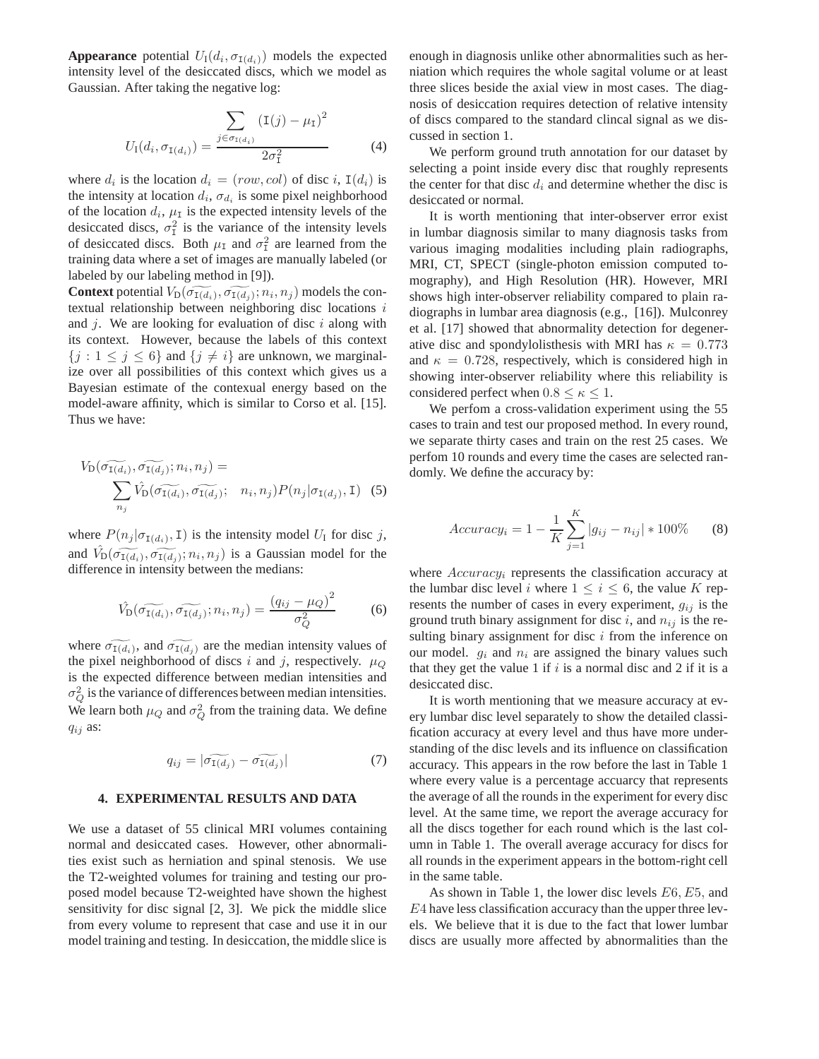**Appearance** potential  $U_1(d_i, \sigma_{I(d_i)})$  models the expected intensity level of the desiccated discs, which we model as Gaussian. After taking the negative log:

$$
U_{\rm I}(d_i, \sigma_{{\rm I}(d_i)}) = \frac{\sum_{j \in \sigma_{{\rm I}(d_i)}} ({\rm I}(j) - \mu_{\rm I})^2}{2\sigma_{\rm I}^2} \tag{4}
$$

where  $d_i$  is the location  $d_i = (row, col)$  of disc i,  $I(d_i)$  is the intensity at location  $d_i$ ,  $\sigma_{d_i}$  is some pixel neighborhood of the location  $d_i$ ,  $\mu_I$  is the expected intensity levels of the desiccated discs,  $\sigma_1^2$  is the variance of the intensity levels of desiccated discs. Both  $\mu_I$  and  $\sigma_I^2$  are learned from the training data where a set of images are manually labeled (or labeled by our labeling method in [9]).

**Context** potential  $V_{\text{D}}(\widetilde{\sigma_{\text{I}(d_i)}}, \widetilde{\sigma_{\text{I}(d_j)}}; n_i, n_j)$  models the contextual relationship between neighboring disc locations  $i$ and  $j$ . We are looking for evaluation of disc  $i$  along with its context. However, because the labels of this context  ${j : 1 \leq j \leq 6}$  and  ${j \neq i}$  are unknown, we marginalize over all possibilities of this context which gives us a Bayesian estimate of the contexual energy based on the model-aware affinity, which is similar to Corso et al. [15]. Thus we have:

$$
V_{\mathcal{D}}(\widetilde{\sigma_{\mathcal{I}(d_i)}}, \widetilde{\sigma_{\mathcal{I}(d_j)}}; n_i, n_j) = \sum_{n_j} \hat{V}_{\mathcal{D}}(\widetilde{\sigma_{\mathcal{I}(d_i)}}, \widetilde{\sigma_{\mathcal{I}(d_j)}}; n_i, n_j) P(n_j | \sigma_{\mathcal{I}(d_j)}, \mathcal{I})
$$
(5)

where  $P(n_j | \sigma_{I(d_i)}, 1)$  is the intensity model  $U_I$  for disc j, and  $\hat{V}_{\text{D}}(\widetilde{\sigma_{\text{I}(d_i)}}, \widetilde{\sigma_{\text{I}(d_j)}}; n_i, n_j)$  is a Gaussian model for the difference in intensity between the medians:

$$
\hat{V}_{\mathcal{D}}(\widetilde{\sigma_{\mathcal{I}(d_i)}}, \widetilde{\sigma_{\mathcal{I}(d_j)}}; n_i, n_j) = \frac{(q_{ij} - \mu_Q)^2}{\sigma_Q^2}
$$
(6)

where  $\widetilde{\sigma_{1(d_i)}}$ , and  $\widetilde{\sigma_{1(d_j)}}$  are the median intensity values of the pixel neighborhood of discs i and j, respectively.  $\mu_Q$ is the expected difference between median intensities and  $\sigma_Q^2$  is the variance of differences between median intensities. We learn both  $\mu_Q$  and  $\sigma_Q^2$  from the training data. We define  $q_{ij}$  as:

$$
q_{ij} = |\widetilde{\sigma_{\mathtt{I}(d_j)}} - \widetilde{\sigma_{\mathtt{I}(d_j)}}| \tag{7}
$$

#### **4. EXPERIMENTAL RESULTS AND DATA**

We use a dataset of 55 clinical MRI volumes containing normal and desiccated cases. However, other abnormalities exist such as herniation and spinal stenosis. We use the T2-weighted volumes for training and testing our proposed model because T2-weighted have shown the highest sensitivity for disc signal [2, 3]. We pick the middle slice from every volume to represent that case and use it in our model training and testing. In desiccation, the middle slice is enough in diagnosis unlike other abnormalities such as herniation which requires the whole sagital volume or at least three slices beside the axial view in most cases. The diagnosis of desiccation requires detection of relative intensity of discs compared to the standard clincal signal as we discussed in section 1.

We perform ground truth annotation for our dataset by selecting a point inside every disc that roughly represents the center for that disc  $d_i$  and determine whether the disc is desiccated or normal.

It is worth mentioning that inter-observer error exist in lumbar diagnosis similar to many diagnosis tasks from various imaging modalities including plain radiographs, MRI, CT, SPECT (single-photon emission computed tomography), and High Resolution (HR). However, MRI shows high inter-observer reliability compared to plain radiographs in lumbar area diagnosis (e.g., [16]). Mulconrey et al. [17] showed that abnormality detection for degenerative disc and spondylolisthesis with MRI has  $\kappa = 0.773$ and  $\kappa = 0.728$ , respectively, which is considered high in showing inter-observer reliability where this reliability is considered perfect when  $0.8 \le \kappa \le 1$ .

We perfom a cross-validation experiment using the 55 cases to train and test our proposed method. In every round, we separate thirty cases and train on the rest 25 cases. We perfom 10 rounds and every time the cases are selected randomly. We define the accuracy by:

$$
Accuracy_i = 1 - \frac{1}{K} \sum_{j=1}^{K} |g_{ij} - n_{ij}| * 100\% \tag{8}
$$

where  $Accuracy_i$  represents the classification accuracy at the lumbar disc level i where  $1 \le i \le 6$ , the value K represents the number of cases in every experiment,  $g_{ij}$  is the ground truth binary assignment for disc i, and  $n_{ij}$  is the resulting binary assignment for disc  $i$  from the inference on our model.  $g_i$  and  $n_i$  are assigned the binary values such that they get the value 1 if  $i$  is a normal disc and 2 if it is a desiccated disc.

It is worth mentioning that we measure accuracy at every lumbar disc level separately to show the detailed classification accuracy at every level and thus have more understanding of the disc levels and its influence on classification accuracy. This appears in the row before the last in Table 1 where every value is a percentage accuarcy that represents the average of all the rounds in the experiment for every disc level. At the same time, we report the average accuracy for all the discs together for each round which is the last column in Table 1. The overall average accuracy for discs for all rounds in the experiment appears in the bottom-right cell in the same table.

As shown in Table 1, the lower disc levels E6, E5, and E4 have less classification accuracy than the upper three levels. We believe that it is due to the fact that lower lumbar discs are usually more affected by abnormalities than the